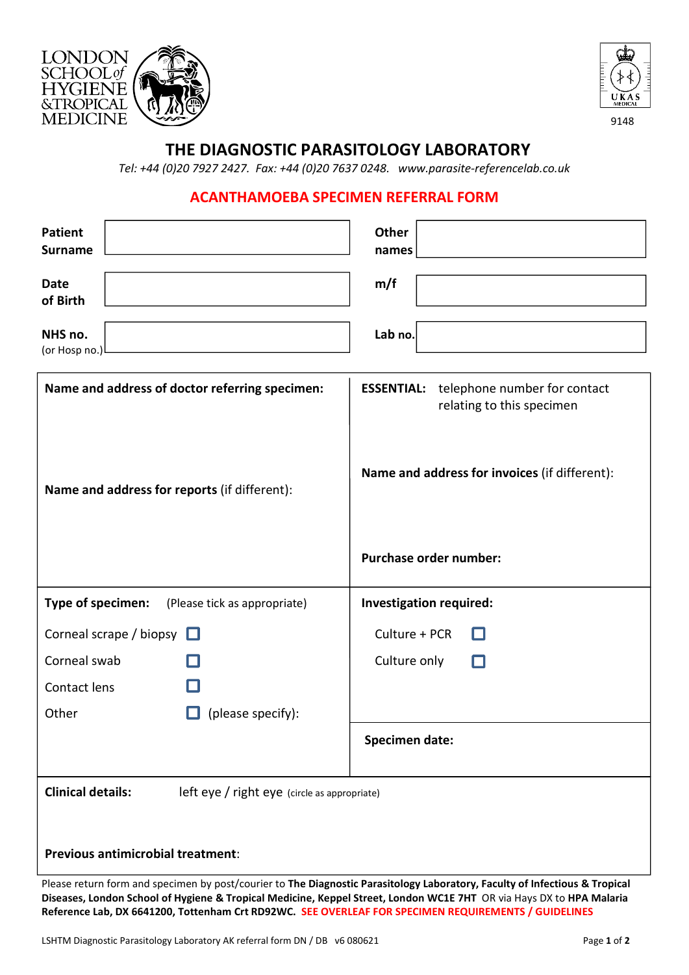



9148

## THE DIAGNOSTIC PARASITOLOGY LABORATORY

Tel: +44 (0)20 7927 2427. Fax: +44 (0)20 7637 0248. <www.parasite-referencelab.co.uk>

### ACANTHAMOEBA SPECIMEN REFERRAL FORM

| <b>Patient</b><br><b>Surname</b>                                                               |                              | <b>Other</b><br>names                                                                                                           |  |  |
|------------------------------------------------------------------------------------------------|------------------------------|---------------------------------------------------------------------------------------------------------------------------------|--|--|
| <b>Date</b><br>of Birth                                                                        |                              | m/f                                                                                                                             |  |  |
| NHS no.<br>(or Hosp no.)                                                                       |                              | Lab no.                                                                                                                         |  |  |
| Name and address of doctor referring specimen:<br>Name and address for reports (if different): |                              | telephone number for contact<br><b>ESSENTIAL:</b><br>relating to this specimen<br>Name and address for invoices (if different): |  |  |
|                                                                                                |                              | <b>Purchase order number:</b>                                                                                                   |  |  |
| Type of specimen:                                                                              | (Please tick as appropriate) | Investigation required:                                                                                                         |  |  |
| Corneal scrape / biopsy $\Box$                                                                 |                              | Culture + PCR                                                                                                                   |  |  |
| Corneal swab                                                                                   |                              | Culture only<br>n                                                                                                               |  |  |
| Contact lens                                                                                   |                              |                                                                                                                                 |  |  |
| Other                                                                                          | (please specify):            |                                                                                                                                 |  |  |
|                                                                                                |                              | <b>Specimen date:</b>                                                                                                           |  |  |
| <b>Clinical details:</b><br>left eye / right eye (circle as appropriate)                       |                              |                                                                                                                                 |  |  |
| <b>Previous antimicrobial treatment:</b>                                                       |                              |                                                                                                                                 |  |  |

Please return form and specimen by post/courier to The Diagnostic Parasitology Laboratory, Faculty of Infectious & Tropical Diseases, London School of Hygiene & Tropical Medicine, Keppel Street, London WC1E 7HT OR via Hays DX to HPA Malaria Reference Lab, DX 6641200, Tottenham Crt RD92WC. SEE OVERLEAF FOR SPECIMEN REQUIREMENTS / GUIDELINES